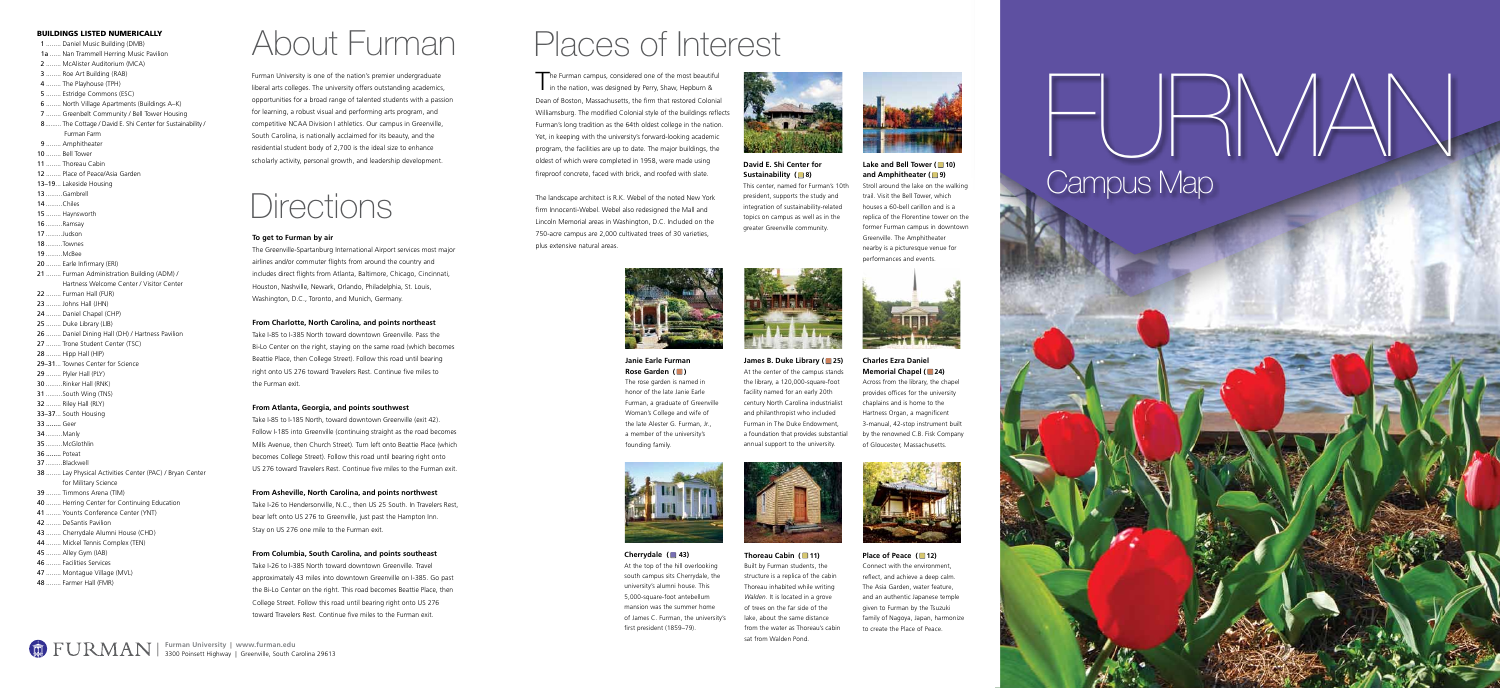**Charles Ezra Daniel Memorial Chapel (24)** Across from the library, the chapel provides offices for the university

At the top of the hill overlooking south campus sits Cherrydale, the university's alumni house. This 5,000-square-foot antebellum mansion was the summer home of James C. Furman, the university's first president (1859–79).





#### **David E. Shi Center for Sustainability (**8)

The landscape architect is R.K. Webel of the noted New York firm Innocenti-Webel. Webel also redesigned the Mall and Lincoln Memorial areas in Washington, D.C. Included on the 750-acre campus are 2,000 cultivated trees of 30 varieties, plus extensive natural areas.



**Place of Peace (12)** Connect with the environment, reflect, and achieve a deep calm. The Asia Garden, water feature, and an authentic Japanese temple given to Furman by the Tsuzuki family of Nagoya, Japan, harmonize to create the Place of Peace.

# Campus Map The Furman campus, considered one of the most beautiful<br>Dean of Boston, Massachusetts, the firm that restored Colonial<br>Furmants long tradition as the 6 dilition scale of the buildings are<br>der furmants long tradition as the

chaplains and is home to the Hartness Organ, a magnificent 3-manual, 42-stop instrument built by the renowned C.B. Fisk Company of Gloucester, Massachusetts.



#### **Janie Earle Furman Rose Garden (** $\blacksquare$ )

#### **Cherrydale (** ! **43)**

**Thoreau Cabin (11)** Built by Furman students, the structure is a replica of the cabin Thoreau inhabited while writing *Walden*. It is located in a grove of trees on the far side of the lake, about the same distance from the water as Thoreau's cabin sat from Walden Pond.



#### **Lake and Bell Tower (■10) and Amphitheater (** 9)

This center, named for Furman's 10th president, supports the study and integration of sustainability-related topics on campus as well as in the greater Greenville community.



**James B. Duke Library (■25)** At the center of the campus stands the library, a 120,000-square-foot facility named for an early 20th century North Carolina industrialist and philanthropist who included Furman in The Duke Endowment, a foundation that provides substantial annual support to the university.



## Places of Interest

in the nation, was designed by Perry, Shaw, Hepburn & Dean of Boston, Massachusetts, the firm that restored Colonial Williamsburg. The modified Colonial style of the buildings reflects Furman's long tradition as the 64th oldest college in the nation. Yet, in keeping with the university's forward-looking academic program, the facilities are up to date. The major buildings, the oldest of which were completed in 1958, were made using fireproof concrete, faced with brick, and roofed with slate.

Take I-85 to I-185 North, toward downtown Greenville (exit 42). Follow I-185 into Greenville (continuing straight as the road becomes Mills Avenue, then Church Street). Turn left onto Beattie Place (which becomes College Street). Follow this road until bearing right onto US 276 toward Travelers Rest. Continue five miles to the Furman exit.

Stroll around the lake on the walking trail. Visit the Bell Tower, which houses a 60-bell carillon and is a replica of the Florentine tower on the former Furman campus in downtown Greenville. The Amphitheater nearby is a picturesque venue for performances and events.



Take I-26 to I-385 North toward downtown Greenville. Travel approximately 43 miles into downtown Greenville on I-385. Go past the Bi-Lo Center on the right. This road becomes Beattie Place, then College Street. Follow this road until bearing right onto US 276 toward Travelers Rest. Continue five miles to the Furman exit.

The rose garden is named in honor of the late Janie Earle Furman, a graduate of Greenville Woman's College and wife of the late Alester G. Furman, Jr., a member of the university's founding family.



#### **To get to Furman by air**

The Greenville-Spartanburg International Airport services most major airlines and/or commuter flights from around the country and includes direct flights from Atlanta, Baltimore, Chicago, Cincinnati, Houston, Nashville, Newark, Orlando, Philadelphia, St. Louis, Washington, D.C., Toronto, and Munich, Germany.

#### **From Charlotte, North Carolina, and points northeast**

Take I-85 to I-385 North toward downtown Greenville. Pass the Bi-Lo Center on the right, staying on the same road (which becomes Beattie Place, then College Street). Follow this road until bearing right onto US 276 toward Travelers Rest. Continue five miles to the Furman exit.

#### **From Atlanta, Georgia, and points southwest**

#### **From Asheville, North Carolina, and points northwest**

Take I-26 to Hendersonville, N.C., then US 25 South. In Travelers Rest, bear left onto US 276 to Greenville, just past the Hampton Inn. Stay on US 276 one mile to the Furman exit.

#### **From Columbia, South Carolina, and points southeast**





Furman University is one of the nation's premier undergraduate liberal arts colleges. The university offers outstanding academics, opportunities for a broad range of talented students with a passion for learning, a robust visual and performing arts program, and competitive NCAA Division I athletics. Our campus in Greenville, South Carolina, is nationally acclaimed for its beauty, and the residential student body of 2,700 is the ideal size to enhance scholarly activity, personal growth, and leadership development.

### **Directions**

## About Furman

#### BUILDINGS LISTED NUMERICALLY

- 1 ........ Daniel Music Building (DMB)
- 1a ...... Nan Trammell Herring Music Pavilion
- 2 ........ McAlister Auditorium (MCA)
- 3 ........ Roe Art Building (RAB)
- 4 ........ The Playhouse (TPH)
- 5 ........ Estridge Commons (ESC)
- 6 ........ North Village Apartments (Buildings A–K)
- 7 ........ Greenbelt Community / Bell Tower Housing
- 8......... The Cottage / David E. Shi Center for Sustainability / Furman Farm
- 9 ........ Amphitheater
- 10 ........ Bell Tower
- 11 ........ Thoreau Cabin
- 12 ........ Place of Peace/Asia Garden
- 13–19... Lakeside Housing
- 13 .........Gambrell
- 14 .........Chiles
- 15 ........ Haynsworth
- 16 .........Ramsay
- 17 .........Judson
- 18 .........Townes
- 19 .........McBee
- 20 ........ Earle Infirmary (ERI)
- 21 ........ Furman Administration Building (ADM) / Hartness Welcome Center / Visitor Center
- 22 ........ Furman Hall (FUR)
- 23 ........ Johns Hall (JHN)
- 24 ........ Daniel Chapel (CHP)
- 25 ........ Duke Library (LIB)
- 26 ........ Daniel Dining Hall (DH) / Hartness Pavilion
- 27 ........ Trone Student Center (TSC)
- 28 ........ Hipp Hall (HIP)
- 29–31... Townes Center for Science
- 29 ........ Plyler Hall (PLY)
- 30 .........Rinker Hall (RNK)
- 31 .........South Wing (TNS)
- 32 ........ Riley Hall (RLY) 33–37... South Housing
- 33 ........ Geer
- 34 .........Manly
- 35 .........McGlothlin
- 36 ........ Poteat
- 37 .........Blackwell
- 38 ........ Lay Physical Activities Center (PAC) / Bryan Center for Military Science
- 39 ........ Timmons Arena (TIM)
- 40 ........ Herring Center for Continuing Education
- 41 ........ Younts Conference Center (YNT)
- 42 ........ DeSantis Pavilion
- 43 ........ Cherrydale Alumni House (CHD)
- 44 ........ Mickel Tennis Complex (TEN)
- 45 ........ Alley Gym (IAB)
- 46 ........ Facilities Services
- 47 ........ Montague Village (MVL)
- 48 ........ Farmer Hall (FMR)